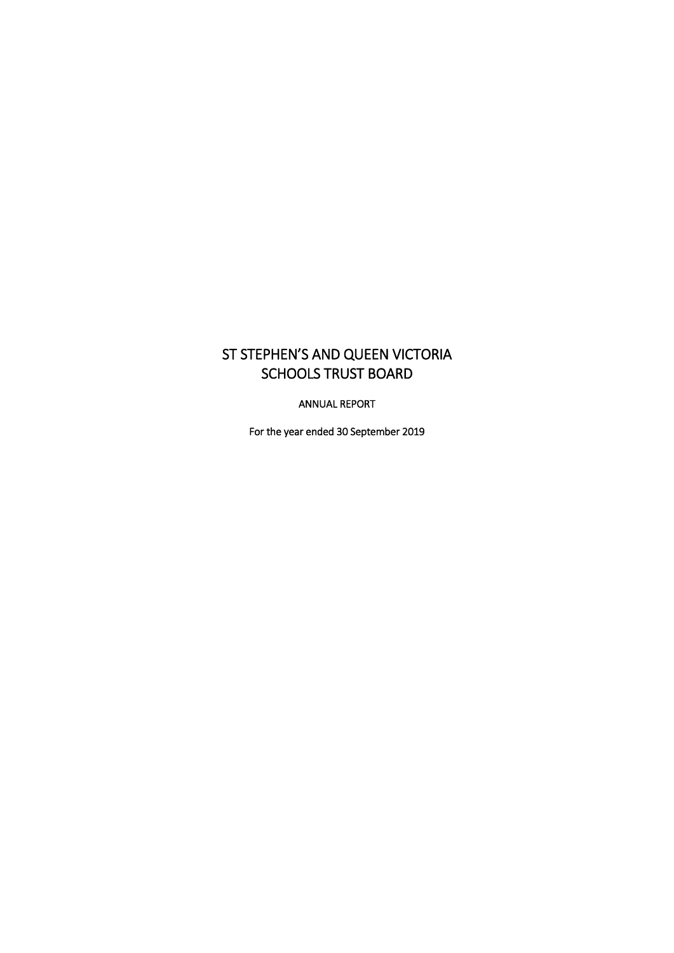# ST STEPHEN'S AND QUEEN VICTORIA SCHOOLS TRUST BOARD

ANNUAL REPORT

For the year ended 30 September 2019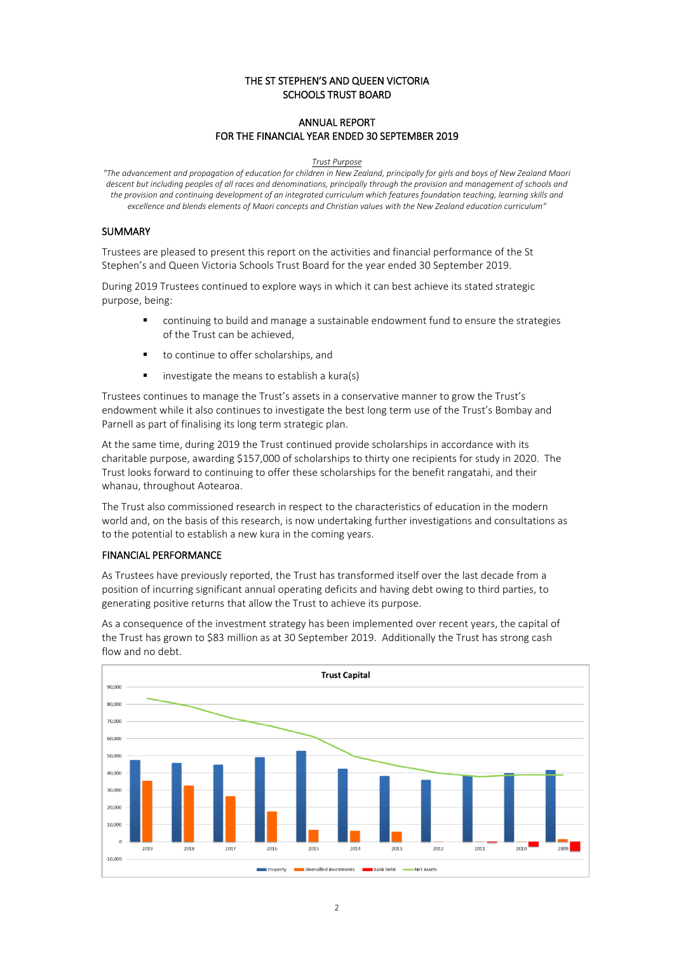### THE ST STEPHEN'S AND QUEEN VICTORIA SCHOOLS TRUST BOARD

## ANNUAL REPORT FOR THE FINANCIAL YEAR ENDED 30 SEPTEMBER 2019

#### *Trust Purpose*

*"The advancement and propagation of education for children in New Zealand, principally for girls and boys of New Zealand Maori descent but including peoples of all races and denominations, principally through the provision and management of schools and the provision and continuing development of an integrated curriculum which features foundation teaching, learning skills and excellence and blends elements of Maori concepts and Christian values with the New Zealand education curriculum"*

#### SUMMARY

Trustees are pleased to present this report on the activities and financial performance of the St Stephen's and Queen Victoria Schools Trust Board for the year ended 30 September 2019.

During 2019 Trustees continued to explore ways in which it can best achieve its stated strategic purpose, being:

- continuing to build and manage a sustainable endowment fund to ensure the strategies of the Trust can be achieved,
- to continue to offer scholarships, and
- investigate the means to establish a kura(s)

Trustees continues to manage the Trust's assets in a conservative manner to grow the Trust's endowment while it also continues to investigate the best long term use of the Trust's Bombay and Parnell as part of finalising its long term strategic plan.

At the same time, during 2019 the Trust continued provide scholarships in accordance with its charitable purpose, awarding \$157,000 of scholarships to thirty one recipients for study in 2020. The Trust looks forward to continuing to offer these scholarships for the benefit rangatahi, and their whanau, throughout Aotearoa.

The Trust also commissioned research in respect to the characteristics of education in the modern world and, on the basis of this research, is now undertaking further investigations and consultations as to the potential to establish a new kura in the coming years.

## FINANCIAL PERFORMANCE

As Trustees have previously reported, the Trust has transformed itself over the last decade from a position of incurring significant annual operating deficits and having debt owing to third parties, to generating positive returns that allow the Trust to achieve its purpose.

As a consequence of the investment strategy has been implemented over recent years, the capital of the Trust has grown to \$83 million as at 30 September 2019. Additionally the Trust has strong cash flow and no debt.

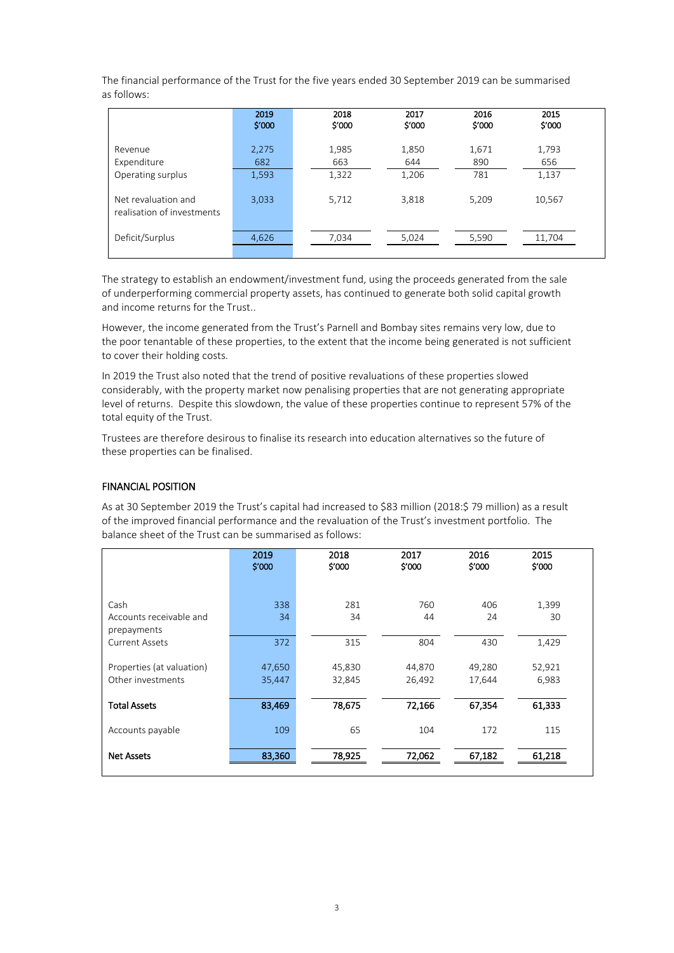The financial performance of the Trust for the five years ended 30 September 2019 can be summarised as follows:

|                                                   | 2019<br>\$'000 | 2018<br>\$'000 | 2017<br>\$'000 | 2016<br>\$'000 | 2015<br>\$'000 |
|---------------------------------------------------|----------------|----------------|----------------|----------------|----------------|
| Revenue                                           | 2,275          | 1,985          | 1,850          | 1,671          | 1,793          |
| Expenditure                                       | 682            | 663            | 644            | 890            | 656            |
| Operating surplus                                 | 1,593          | 1,322          | 1,206          | 781            | 1,137          |
| Net revaluation and<br>realisation of investments | 3,033          | 5,712          | 3,818          | 5,209          | 10,567         |
| Deficit/Surplus                                   | 4,626          | 7,034          | 5,024          | 5,590          | 11,704         |

The strategy to establish an endowment/investment fund, using the proceeds generated from the sale of underperforming commercial property assets, has continued to generate both solid capital growth and income returns for the Trust..

However, the income generated from the Trust's Parnell and Bombay sites remains very low, due to the poor tenantable of these properties, to the extent that the income being generated is not sufficient to cover their holding costs.

In 2019 the Trust also noted that the trend of positive revaluations of these properties slowed considerably, with the property market now penalising properties that are not generating appropriate level of returns. Despite this slowdown, the value of these properties continue to represent 57% of the total equity of the Trust.

Trustees are therefore desirous to finalise its research into education alternatives so the future of these properties can be finalised.

#### FINANCIAL POSITION

As at 30 September 2019 the Trust's capital had increased to \$83 million (2018:\$ 79 million) as a result of the improved financial performance and the revaluation of the Trust's investment portfolio. The balance sheet of the Trust can be summarised as follows:

|                           | 2019<br>\$'000 | 2018<br>\$'000 | 2017<br>\$'000 | 2016<br>\$'000 | 2015<br>\$'000 |  |
|---------------------------|----------------|----------------|----------------|----------------|----------------|--|
|                           |                |                |                |                |                |  |
| Cash                      | 338            | 281            | 760            | 406            | 1,399          |  |
| Accounts receivable and   | 34             | 34             | 44             | 24             | 30             |  |
| prepayments               |                |                |                |                |                |  |
| <b>Current Assets</b>     | 372            | 315            | 804            | 430            | 1,429          |  |
| Properties (at valuation) | 47,650         | 45,830         | 44,870         | 49,280         | 52,921         |  |
| Other investments         | 35,447         | 32,845         | 26,492         | 17,644         | 6,983          |  |
|                           |                |                |                |                |                |  |
| <b>Total Assets</b>       | 83,469         | 78,675         | 72,166         | 67,354         | 61,333         |  |
|                           |                |                |                |                |                |  |
| Accounts payable          | 109            | 65             | 104            | 172            | 115            |  |
| <b>Net Assets</b>         | 83,360         | 78,925         | 72,062         | 67,182         | 61,218         |  |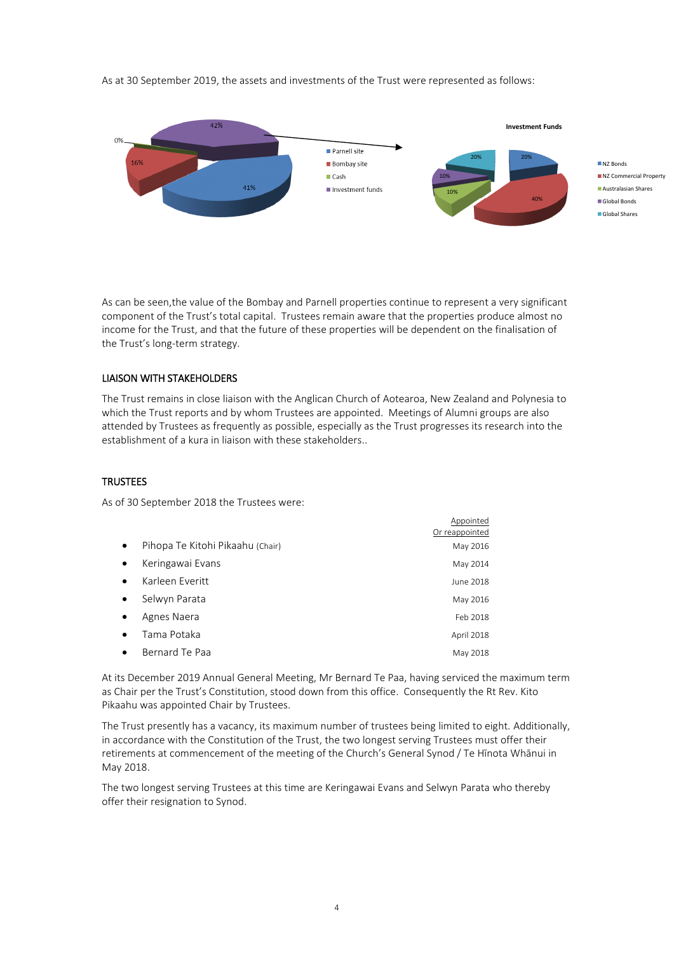As at 30 September 2019, the assets and investments of the Trust were represented as follows:



As can be seen,the value of the Bombay and Parnell properties continue to represent a very significant component of the Trust's total capital. Trustees remain aware that the properties produce almost no income for the Trust, and that the future of these properties will be dependent on the finalisation of the Trust's long-term strategy.

#### LIAISON WITH STAKEHOLDERS

The Trust remains in close liaison with the Anglican Church of Aotearoa, New Zealand and Polynesia to which the Trust reports and by whom Trustees are appointed. Meetings of Alumni groups are also attended by Trustees as frequently as possible, especially as the Trust progresses its research into the establishment of a kura in liaison with these stakeholders..

## **TRUSTEES**

As of 30 September 2018 the Trustees were:

|           |                                  | Appointed      |
|-----------|----------------------------------|----------------|
|           |                                  | Or reappointed |
| $\bullet$ | Pihopa Te Kitohi Pikaahu (Chair) | May 2016       |
| $\bullet$ | Keringawai Evans                 | May 2014       |
| $\bullet$ | Karleen Everitt                  | June 2018      |
| $\bullet$ | Selwyn Parata                    | May 2016       |
| $\bullet$ | Agnes Naera                      | Feb 2018       |
| $\bullet$ | Tama Potaka                      | April 2018     |
| $\bullet$ | Bernard Te Paa                   | May 2018       |

At its December 2019 Annual General Meeting, Mr Bernard Te Paa, having serviced the maximum term as Chair per the Trust's Constitution, stood down from this office. Consequently the Rt Rev. Kito Pikaahu was appointed Chair by Trustees.

The Trust presently has a vacancy, its maximum number of trustees being limited to eight. Additionally, in accordance with the Constitution of the Trust, the two longest serving Trustees must offer their retirements at commencement of the meeting of the Church's General Synod / Te Hīnota Whānui in May 2018.

The two longest serving Trustees at this time are Keringawai Evans and Selwyn Parata who thereby offer their resignation to Synod.